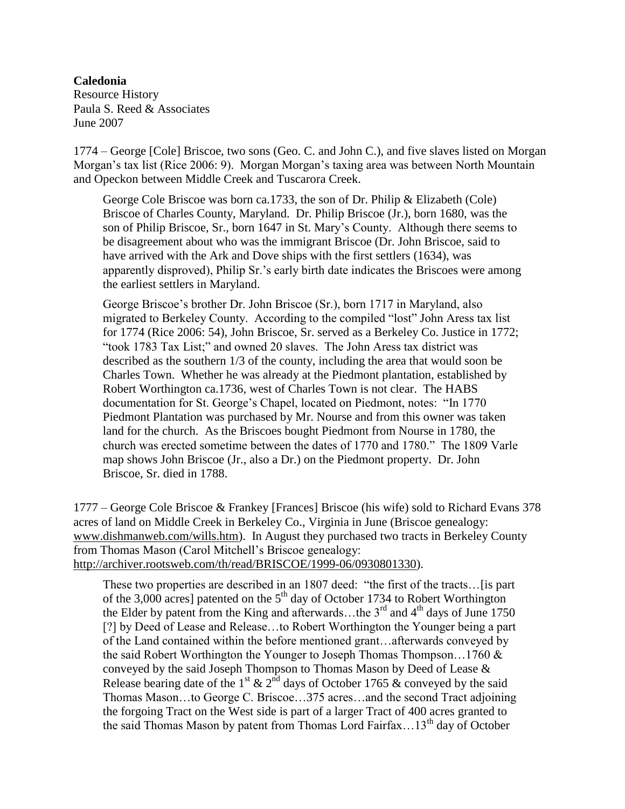## **Caledonia** Resource History Paula S. Reed & Associates June 2007

1774 – George [Cole] Briscoe, two sons (Geo. C. and John C.), and five slaves listed on Morgan Morgan's tax list (Rice 2006: 9). Morgan Morgan's taxing area was between North Mountain and Opeckon between Middle Creek and Tuscarora Creek.

George Cole Briscoe was born ca.1733, the son of Dr. Philip & Elizabeth (Cole) Briscoe of Charles County, Maryland. Dr. Philip Briscoe (Jr.), born 1680, was the son of Philip Briscoe, Sr., born 1647 in St. Mary's County. Although there seems to be disagreement about who was the immigrant Briscoe (Dr. John Briscoe, said to have arrived with the Ark and Dove ships with the first settlers (1634), was apparently disproved), Philip Sr.'s early birth date indicates the Briscoes were among the earliest settlers in Maryland.

George Briscoe's brother Dr. John Briscoe (Sr.), born 1717 in Maryland, also migrated to Berkeley County. According to the compiled "lost" John Aress tax list for 1774 (Rice 2006: 54), John Briscoe, Sr. served as a Berkeley Co. Justice in 1772; "took 1783 Tax List;" and owned 20 slaves. The John Aress tax district was described as the southern 1/3 of the county, including the area that would soon be Charles Town. Whether he was already at the Piedmont plantation, established by Robert Worthington ca.1736, west of Charles Town is not clear. The HABS documentation for St. George's Chapel, located on Piedmont, notes: "In 1770 Piedmont Plantation was purchased by Mr. Nourse and from this owner was taken land for the church. As the Briscoes bought Piedmont from Nourse in 1780, the church was erected sometime between the dates of 1770 and 1780." The 1809 Varle map shows John Briscoe (Jr., also a Dr.) on the Piedmont property. Dr. John Briscoe, Sr. died in 1788.

1777 – George Cole Briscoe & Frankey [Frances] Briscoe (his wife) sold to Richard Evans 378 acres of land on Middle Creek in Berkeley Co., Virginia in June (Briscoe genealogy: [www.dishmanweb.com/wills.htm\)](http://www.dishmanweb.com/wills.htm). In August they purchased two tracts in Berkeley County from Thomas Mason (Carol Mitchell's Briscoe genealogy: [http://archiver.rootsweb.com/th/read/BRISCOE/1999-06/0930801330\)](http://archiver.rootsweb.com/th/read/BRISCOE/1999-06/0930801330).

These two properties are described in an 1807 deed: "the first of the tracts…[is part of the 3,000 acres] patented on the  $5<sup>th</sup>$  day of October 1734 to Robert Worthington the Elder by patent from the King and afterwards...the  $3<sup>rd</sup>$  and  $4<sup>th</sup>$  days of June 1750 [?] by Deed of Lease and Release…to Robert Worthington the Younger being a part of the Land contained within the before mentioned grant…afterwards conveyed by the said Robert Worthington the Younger to Joseph Thomas Thompson…1760 & conveyed by the said Joseph Thompson to Thomas Mason by Deed of Lease & Release bearing date of the 1<sup>st</sup>  $\&$  2<sup>nd</sup> days of October 1765  $\&$  conveyed by the said Thomas Mason…to George C. Briscoe…375 acres…and the second Tract adjoining the forgoing Tract on the West side is part of a larger Tract of 400 acres granted to the said Thomas Mason by patent from Thomas Lord Fairfax...13<sup>th</sup> day of October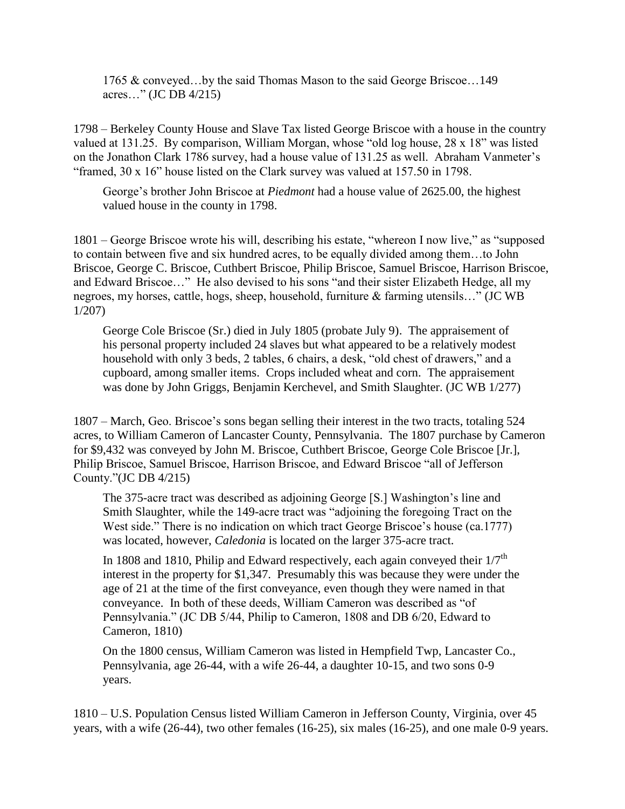1765 & conveyed…by the said Thomas Mason to the said George Briscoe…149 acres…" (JC DB 4/215)

1798 – Berkeley County House and Slave Tax listed George Briscoe with a house in the country valued at 131.25. By comparison, William Morgan, whose "old log house, 28 x 18" was listed on the Jonathon Clark 1786 survey, had a house value of 131.25 as well. Abraham Vanmeter's "framed, 30 x 16" house listed on the Clark survey was valued at 157.50 in 1798.

George's brother John Briscoe at *Piedmont* had a house value of 2625.00, the highest valued house in the county in 1798.

1801 – George Briscoe wrote his will, describing his estate, "whereon I now live," as "supposed to contain between five and six hundred acres, to be equally divided among them…to John Briscoe, George C. Briscoe, Cuthbert Briscoe, Philip Briscoe, Samuel Briscoe, Harrison Briscoe, and Edward Briscoe…" He also devised to his sons "and their sister Elizabeth Hedge, all my negroes, my horses, cattle, hogs, sheep, household, furniture & farming utensils…" (JC WB 1/207)

George Cole Briscoe (Sr.) died in July 1805 (probate July 9). The appraisement of his personal property included 24 slaves but what appeared to be a relatively modest household with only 3 beds, 2 tables, 6 chairs, a desk, "old chest of drawers," and a cupboard, among smaller items. Crops included wheat and corn. The appraisement was done by John Griggs, Benjamin Kerchevel, and Smith Slaughter. (JC WB 1/277)

1807 – March, Geo. Briscoe's sons began selling their interest in the two tracts, totaling 524 acres, to William Cameron of Lancaster County, Pennsylvania. The 1807 purchase by Cameron for \$9,432 was conveyed by John M. Briscoe, Cuthbert Briscoe, George Cole Briscoe [Jr.], Philip Briscoe, Samuel Briscoe, Harrison Briscoe, and Edward Briscoe "all of Jefferson County."(JC DB 4/215)

The 375-acre tract was described as adjoining George [S.] Washington's line and Smith Slaughter, while the 149-acre tract was "adjoining the foregoing Tract on the West side." There is no indication on which tract George Briscoe's house (ca.1777) was located, however, *Caledonia* is located on the larger 375-acre tract.

In 1808 and 1810, Philip and Edward respectively, each again conveyed their  $1/7<sup>th</sup>$ interest in the property for \$1,347. Presumably this was because they were under the age of 21 at the time of the first conveyance, even though they were named in that conveyance. In both of these deeds, William Cameron was described as "of Pennsylvania." (JC DB 5/44, Philip to Cameron, 1808 and DB 6/20, Edward to Cameron, 1810)

On the 1800 census, William Cameron was listed in Hempfield Twp, Lancaster Co., Pennsylvania, age 26-44, with a wife 26-44, a daughter 10-15, and two sons 0-9 years.

1810 – U.S. Population Census listed William Cameron in Jefferson County, Virginia, over 45 years, with a wife (26-44), two other females (16-25), six males (16-25), and one male 0-9 years.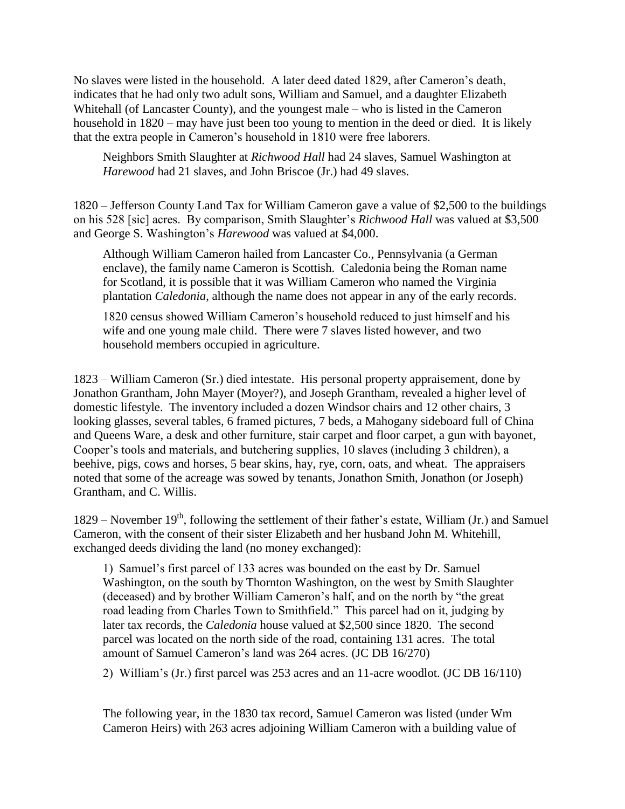No slaves were listed in the household. A later deed dated 1829, after Cameron's death, indicates that he had only two adult sons, William and Samuel, and a daughter Elizabeth Whitehall (of Lancaster County), and the youngest male – who is listed in the Cameron household in 1820 – may have just been too young to mention in the deed or died. It is likely that the extra people in Cameron's household in 1810 were free laborers.

Neighbors Smith Slaughter at *Richwood Hall* had 24 slaves, Samuel Washington at *Harewood* had 21 slaves, and John Briscoe (Jr.) had 49 slaves.

1820 – Jefferson County Land Tax for William Cameron gave a value of \$2,500 to the buildings on his 528 [sic] acres. By comparison, Smith Slaughter's *Richwood Hall* was valued at \$3,500 and George S. Washington's *Harewood* was valued at \$4,000.

Although William Cameron hailed from Lancaster Co., Pennsylvania (a German enclave), the family name Cameron is Scottish. Caledonia being the Roman name for Scotland, it is possible that it was William Cameron who named the Virginia plantation *Caledonia*, although the name does not appear in any of the early records.

1820 census showed William Cameron's household reduced to just himself and his wife and one young male child. There were 7 slaves listed however, and two household members occupied in agriculture.

1823 – William Cameron (Sr.) died intestate. His personal property appraisement, done by Jonathon Grantham, John Mayer (Moyer?), and Joseph Grantham, revealed a higher level of domestic lifestyle. The inventory included a dozen Windsor chairs and 12 other chairs, 3 looking glasses, several tables, 6 framed pictures, 7 beds, a Mahogany sideboard full of China and Queens Ware, a desk and other furniture, stair carpet and floor carpet, a gun with bayonet, Cooper's tools and materials, and butchering supplies, 10 slaves (including 3 children), a beehive, pigs, cows and horses, 5 bear skins, hay, rye, corn, oats, and wheat. The appraisers noted that some of the acreage was sowed by tenants, Jonathon Smith, Jonathon (or Joseph) Grantham, and C. Willis.

 $1829$  – November  $19<sup>th</sup>$ , following the settlement of their father's estate, William (Jr.) and Samuel Cameron, with the consent of their sister Elizabeth and her husband John M. Whitehill, exchanged deeds dividing the land (no money exchanged):

1) Samuel's first parcel of 133 acres was bounded on the east by Dr. Samuel Washington, on the south by Thornton Washington, on the west by Smith Slaughter (deceased) and by brother William Cameron's half, and on the north by "the great road leading from Charles Town to Smithfield." This parcel had on it, judging by later tax records, the *Caledonia* house valued at \$2,500 since 1820. The second parcel was located on the north side of the road, containing 131 acres. The total amount of Samuel Cameron's land was 264 acres. (JC DB 16/270)

2) William's (Jr.) first parcel was 253 acres and an 11-acre woodlot. (JC DB 16/110)

The following year, in the 1830 tax record, Samuel Cameron was listed (under Wm Cameron Heirs) with 263 acres adjoining William Cameron with a building value of